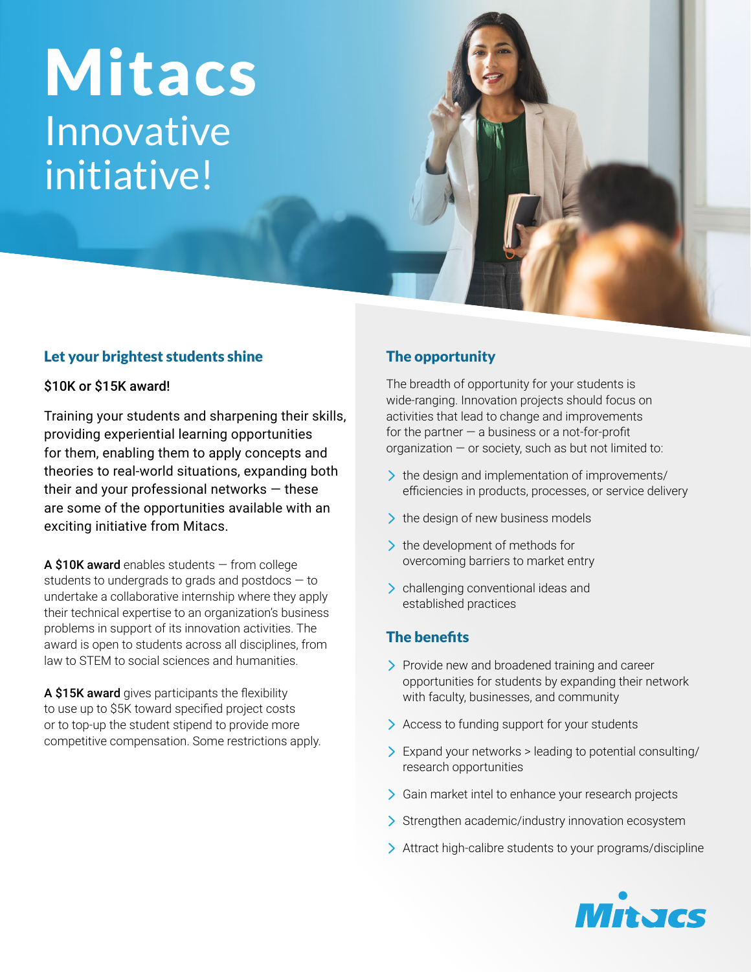# Mitacs Innovative initiative!

## Let your brightest students shine

#### \$10K or \$15K award!

Training your students and sharpening their skills, providing experiential learning opportunities for them, enabling them to apply concepts and theories to real-world situations, expanding both their and your professional networks  $-$  these are some of the opportunities available with an exciting initiative from Mitacs.

A \$10K award enables students  $-$  from college students to undergrads to grads and postdocs — to undertake a collaborative internship where they apply their technical expertise to an organization's business problems in support of its innovation activities. The award is open to students across all disciplines, from law to STEM to social sciences and humanities.

A \$15K award gives participants the flexibility to use up to \$5K toward specified project costs or to top-up the student stipend to provide more competitive compensation. Some restrictions apply.

## The opportunity

The breadth of opportunity for your students is wide-ranging. Innovation projects should focus on activities that lead to change and improvements for the partner  $-$  a business or a not-for-profit organization  $-$  or society, such as but not limited to:

- If the design and implementation of improvements/ efficiencies in products, processes, or service delivery
- $\geq$  the design of new business models
- $\geq$  the development of methods for overcoming barriers to market entry
- > challenging conventional ideas and established practices

### The benefits

- > Provide new and broadened training and career opportunities for students by expanding their network with faculty, businesses, and community
- > Access to funding support for your students
- Expand your networks > leading to potential consulting/ research opportunities
- Sim market intel to enhance your research projects
- Strengthen academic/industry innovation ecosystem
- Attract high-calibre students to your programs/discipline